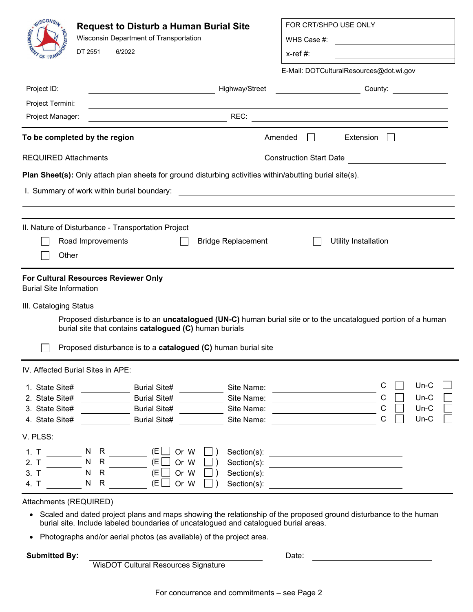| <b>ANISCONSIN</b>                                                    | <b>Request to Disturb a Human Burial Site</b><br>Wisconsin Department of Transportation<br>DT 2551<br>6/2022                                                                                             | FOR CRT/SHPO USE ONLY<br>$x$ -ref #:                                                                                           |  |  |  |  |  |
|----------------------------------------------------------------------|----------------------------------------------------------------------------------------------------------------------------------------------------------------------------------------------------------|--------------------------------------------------------------------------------------------------------------------------------|--|--|--|--|--|
| Project ID:<br>Project Termini:                                      | Highway/Street<br><u> 1989 - Johann Barn, mars an t-Amerikaansk kommunister (</u>                                                                                                                        | E-Mail: DOTCulturalResources@dot.wi.gov<br><b>County:</b> County:                                                              |  |  |  |  |  |
| Project Manager:                                                     |                                                                                                                                                                                                          |                                                                                                                                |  |  |  |  |  |
|                                                                      | To be completed by the region                                                                                                                                                                            | Amended<br>Extension<br>$\perp$<br>$\mathbf{1}$                                                                                |  |  |  |  |  |
| <b>REQUIRED Attachments</b>                                          |                                                                                                                                                                                                          | Construction Start Date <b>Construction</b>                                                                                    |  |  |  |  |  |
|                                                                      | Plan Sheet(s): Only attach plan sheets for ground disturbing activities within/abutting burial site(s).<br>I. Summary of work within burial boundary:                                                    | <u> 1989 - Andrea Stadt British, fransk politik (d. 1989)</u>                                                                  |  |  |  |  |  |
| Other                                                                | II. Nature of Disturbance - Transportation Project<br>Road Improvements<br><b>Bridge Replacement</b>                                                                                                     | Utility Installation                                                                                                           |  |  |  |  |  |
| <b>Burial Site Information</b>                                       | <b>For Cultural Resources Reviewer Only</b>                                                                                                                                                              |                                                                                                                                |  |  |  |  |  |
| III. Cataloging Status                                               | burial site that contains catalogued (C) human burials<br>Proposed disturbance is to a catalogued (C) human burial site                                                                                  | Proposed disturbance is to an <b>uncatalogued (UN-C)</b> human burial site or to the uncatalogued portion of a human           |  |  |  |  |  |
|                                                                      | IV. Affected Burial Sites in APE:                                                                                                                                                                        |                                                                                                                                |  |  |  |  |  |
| 1. State Site#<br>2. State Site#<br>3. State Site#<br>4. State Site# | <b>Burial Site#</b><br>Site Name:<br><b>Burial Site#</b><br>Site Name:<br><b>Burial Site#</b><br>Site Name:<br><b>Burial Site#</b><br>Site Name:                                                         | $Un-C$<br>С<br><u> 1980 - Jan Barat, prima a</u><br>$\mathsf{C}$<br>$Un-C$<br>$\mathsf{C}$<br>$Un-C$<br>$\mathsf{C}$<br>$Un-C$ |  |  |  |  |  |
| V. PLSS:<br>1. T<br>2. T<br>3. T<br>4. T                             | (E<br>Or W<br>N<br>- R<br>$\mathsf{R}$<br>N<br>(E)<br>Or W<br>$\mathsf{R}$<br>$\mathsf{N}$<br>(E<br>Or W<br>Section(s):<br>$\mathsf{R}$<br>N<br>(E <sub>1</sub> )<br>Or W<br>Section(s):                 | <u> Alexandria de la contrada de la contrada de la contrada de la contrada de la contrada de la contrada de la c</u>           |  |  |  |  |  |
| Attachments (REQUIRED)<br>$\bullet$                                  | Scaled and dated project plans and maps showing the relationship of the proposed ground disturbance to the human<br>burial site. Include labeled boundaries of uncatalogued and catalogued burial areas. |                                                                                                                                |  |  |  |  |  |

• Photographs and/or aerial photos (as available) of the project area.

**Submitted By:** Date:

WisDOT Cultural Resources Signature